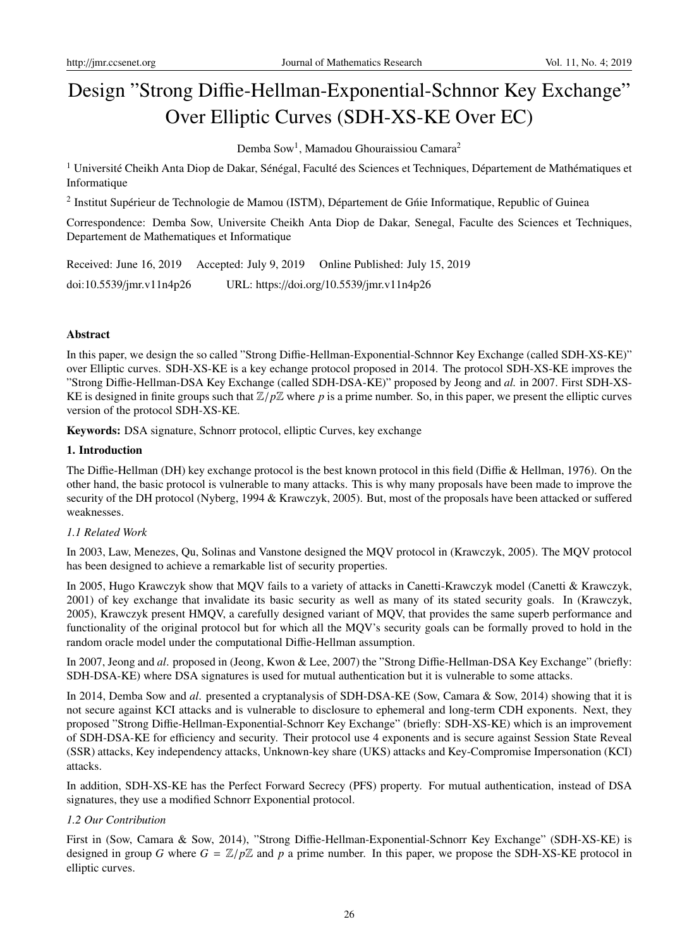# Design "Strong Diffie-Hellman-Exponential-Schnnor Key Exchange" Over Elliptic Curves (SDH-XS-KE Over EC)

Demba Sow<sup>1</sup>, Mamadou Ghouraissiou Camara<sup>2</sup>

<sup>1</sup> Université Cheikh Anta Diop de Dakar, Sénégal, Faculté des Sciences et Techniques, Département de Mathématiques et Informatique

<sup>2</sup> Institut Supérieur de Technologie de Mamou (ISTM), Département de Gnie Informatique, Republic of Guinea

Correspondence: Demba Sow, Universite Cheikh Anta Diop de Dakar, Senegal, Faculte des Sciences et Techniques, Departement de Mathematiques et Informatique

Received: June 16, 2019 Accepted: July 9, 2019 Online Published: July 15, 2019 doi:10.5539/jmr.v11n4p26 URL: https://doi.org/10.5539/jmr.v11n4p26

# Abstract

In this paper, we design the so called "Strong Diffie-Hellman-Exponential-Schnnor Key Exchange (called SDH-XS-KE)" over Elliptic curves. SDH-XS-KE is a key echange protocol proposed in 2014. The protocol SDH-XS-KE improves the "Strong Diffie-Hellman-DSA Key Exchange (called SDH-DSA-KE)" proposed by Jeong and *al.* in 2007. First SDH-XS-KE is designed in finite groups such that  $\mathbb{Z}/p\mathbb{Z}$  where p is a prime number. So, in this paper, we present the elliptic curves version of the protocol SDH-XS-KE.

Keywords: DSA signature, Schnorr protocol, elliptic Curves, key exchange

# 1. Introduction

The Diffie-Hellman (DH) key exchange protocol is the best known protocol in this field (Diffie & Hellman, 1976). On the other hand, the basic protocol is vulnerable to many attacks. This is why many proposals have been made to improve the security of the DH protocol (Nyberg, 1994 & Krawczyk, 2005). But, most of the proposals have been attacked or suffered weaknesses.

# *1.1 Related Work*

In 2003, Law, Menezes, Qu, Solinas and Vanstone designed the MQV protocol in (Krawczyk, 2005). The MQV protocol has been designed to achieve a remarkable list of security properties.

In 2005, Hugo Krawczyk show that MQV fails to a variety of attacks in Canetti-Krawczyk model (Canetti & Krawczyk, 2001) of key exchange that invalidate its basic security as well as many of its stated security goals. In (Krawczyk, 2005), Krawczyk present HMQV, a carefully designed variant of MQV, that provides the same superb performance and functionality of the original protocol but for which all the MQV's security goals can be formally proved to hold in the random oracle model under the computational Diffie-Hellman assumption.

In 2007, Jeong and *al*. proposed in (Jeong, Kwon & Lee, 2007) the "Strong Diffie-Hellman-DSA Key Exchange" (briefly: SDH-DSA-KE) where DSA signatures is used for mutual authentication but it is vulnerable to some attacks.

In 2014, Demba Sow and *al*. presented a cryptanalysis of SDH-DSA-KE (Sow, Camara & Sow, 2014) showing that it is not secure against KCI attacks and is vulnerable to disclosure to ephemeral and long-term CDH exponents. Next, they proposed "Strong Diffie-Hellman-Exponential-Schnorr Key Exchange" (briefly: SDH-XS-KE) which is an improvement of SDH-DSA-KE for efficiency and security. Their protocol use 4 exponents and is secure against Session State Reveal (SSR) attacks, Key independency attacks, Unknown-key share (UKS) attacks and Key-Compromise Impersonation (KCI) attacks.

In addition, SDH-XS-KE has the Perfect Forward Secrecy (PFS) property. For mutual authentication, instead of DSA signatures, they use a modified Schnorr Exponential protocol.

# *1.2 Our Contribution*

First in (Sow, Camara & Sow, 2014), "Strong Diffie-Hellman-Exponential-Schnorr Key Exchange" (SDH-XS-KE) is designed in group *G* where  $G = \mathbb{Z}/p\mathbb{Z}$  and *p* a prime number. In this paper, we propose the SDH-XS-KE protocol in elliptic curves.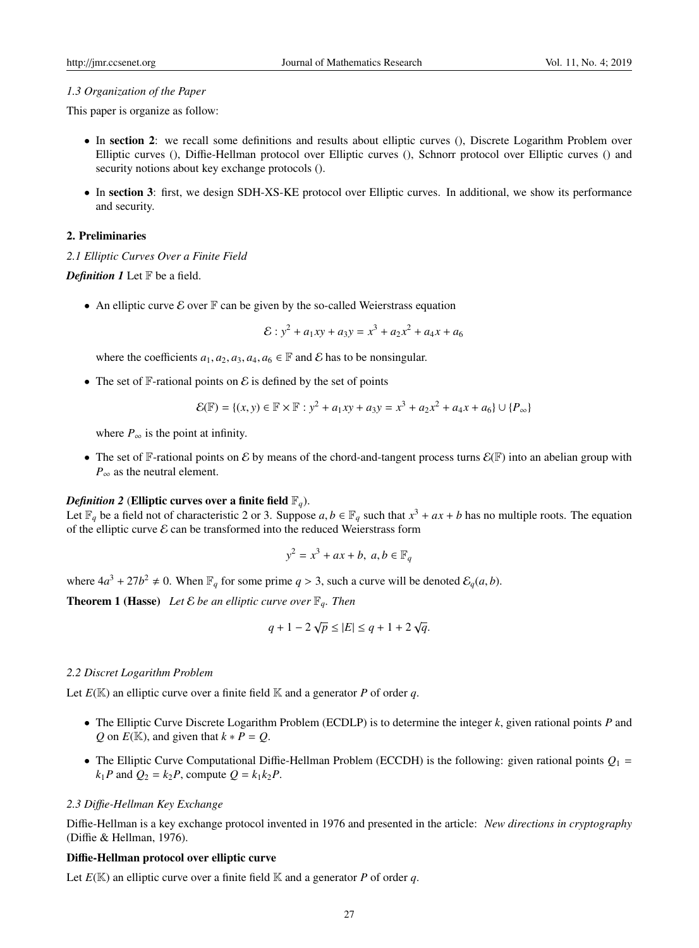#### *1.3 Organization of the Paper*

This paper is organize as follow:

- In section 2: we recall some definitions and results about elliptic curves (), Discrete Logarithm Problem over Elliptic curves (), Diffie-Hellman protocol over Elliptic curves (), Schnorr protocol over Elliptic curves () and security notions about key exchange protocols ().
- In section 3: first, we design SDH-XS-KE protocol over Elliptic curves. In additional, we show its performance and security.

#### 2. Preliminaries

*2.1 Elliptic Curves Over a Finite Field*

*Definition 1* Let  $\mathbb F$  be a field.

• An elliptic curve  $\mathcal E$  over  $\mathbb F$  can be given by the so-called Weierstrass equation

$$
\mathcal{E}: y^2 + a_1xy + a_3y = x^3 + a_2x^2 + a_4x + a_6
$$

where the coefficients  $a_1, a_2, a_3, a_4, a_6 \in \mathbb{F}$  and  $\mathcal{E}$  has to be nonsingular.

• The set of  $\mathbb F$ -rational points on  $\mathcal E$  is defined by the set of points

$$
\mathcal{E}(\mathbb{F}) = \{(x, y) \in \mathbb{F} \times \mathbb{F} : y^2 + a_1xy + a_3y = x^3 + a_2x^2 + a_4x + a_6\} \cup \{P_{\infty}\}\
$$

where  $P_{\infty}$  is the point at infinity.

• The set of F-rational points on E by means of the chord-and-tangent process turns  $\mathcal{E}(\mathbb{F})$  into an abelian group with  $P_{\infty}$  as the neutral element.

#### *Definition 2* (Elliptic curves over a finite field  $\mathbb{F}_q$ ).

Let  $\mathbb{F}_q$  be a field not of characteristic 2 or 3. Suppose  $a, b \in \mathbb{F}_q$  such that  $x^3 + ax + b$  has no multiple roots. The equation of the elliptic curve  $\mathcal E$  can be transformed into the reduced Weierstrass form

$$
y^2 = x^3 + ax + b, \ a, b \in \mathbb{F}_q
$$

where  $4a^3 + 27b^2 \neq 0$ . When  $\mathbb{F}_q$  for some prime  $q > 3$ , such a curve will be denoted  $\mathcal{E}_q(a, b)$ .

**Theorem 1 (Hasse)** Let  $\mathcal E$  be an elliptic curve over  $\mathbb F_q$ . Then

$$
q + 1 - 2\sqrt{p} \le |E| \le q + 1 + 2\sqrt{q}.
$$

# *2.2 Discret Logarithm Problem*

Let  $E(\mathbb{K})$  an elliptic curve over a finite field  $\mathbb{K}$  and a generator P of order q.

- The Elliptic Curve Discrete Logarithm Problem (ECDLP) is to determine the integer *k*, given rational points *P* and *Q* on  $E(\mathbb{K})$ , and given that  $k * P = Q$ .
- The Elliptic Curve Computational Diffie-Hellman Problem (ECCDH) is the following: given rational points  $Q_1 =$  $k_1P$  and  $Q_2 = k_2P$ , compute  $Q = k_1k_2P$ .

#### *2.3 Di*ffi*e-Hellman Key Exchange*

Diffie-Hellman is a key exchange protocol invented in 1976 and presented in the article: *New directions in cryptography* (Diffie & Hellman, 1976).

# Diffie-Hellman protocol over elliptic curve

Let  $E(\mathbb{K})$  an elliptic curve over a finite field  $\mathbb{K}$  and a generator P of order q.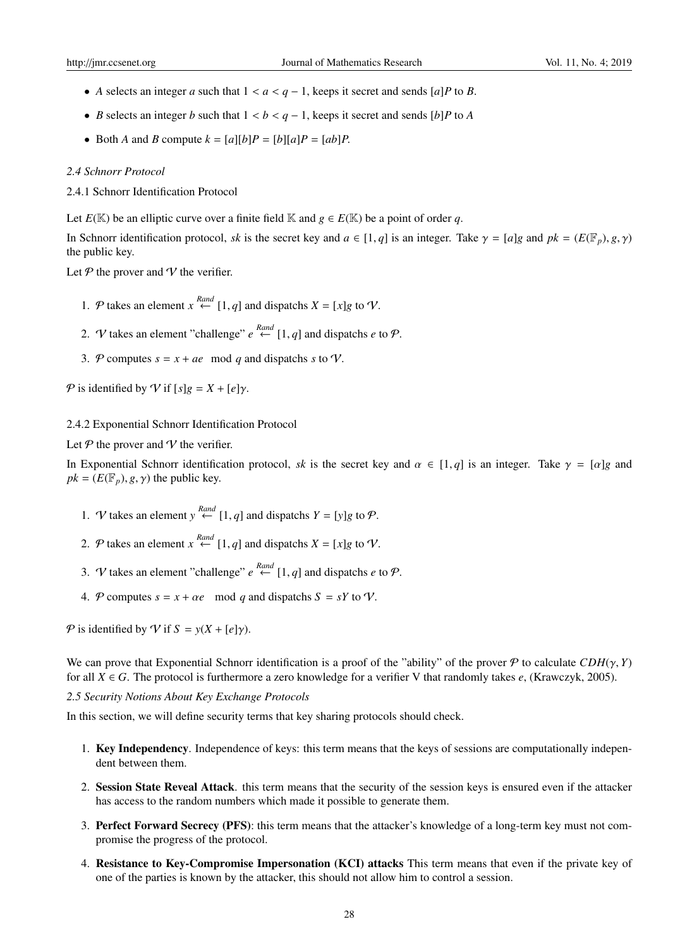- *A* selects an integer *a* such that  $1 < a < q 1$ , keeps it secret and sends [*a*]*P* to *B*.
- *B* selects an integer *b* such that 1 < *b* < *q* − 1, keeps it secret and sends [*b*]*P* to *A*
- Both *A* and *B* compute  $k = [a][b]P = [b][a]P = [ab]P$ .

#### *2.4 Schnorr Protocol*

2.4.1 Schnorr Identification Protocol

Let  $E(\mathbb{K})$  be an elliptic curve over a finite field  $\mathbb{K}$  and  $g \in E(\mathbb{K})$  be a point of order *q*.

In Schnorr identification protocol, *sk* is the secret key and  $a \in [1, q]$  is an integer. Take  $\gamma = [a]g$  and  $pk = (E(\mathbb{F}_p), g, \gamma)$ the public key.

Let  $P$  the prover and  $V$  the verifier.

- 1. P takes an element  $x \stackrel{Rand}{\leftarrow} [1, q]$  and dispatchs  $X = [x]g$  to V.
- 2. *V* takes an element "challenge"  $e \stackrel{Rand}{\leftarrow} [1, q]$  and dispatchs *e* to *P*.
- 3. P computes  $s = x + ae \mod q$  and dispatchs *s* to V.

P is identified by V if  $[s]g = X + [e]\gamma$ .

#### 2.4.2 Exponential Schnorr Identification Protocol

Let  $P$  the prover and  $V$  the verifier.

In Exponential Schnorr identification protocol, *sk* is the secret key and  $\alpha \in [1, q]$  is an integer. Take  $\gamma = [\alpha]g$  and  $pk = (E(\mathbb{F}_p), g, \gamma)$  the public key.

- 1. *V* takes an element  $y \stackrel{Rand}{\leftarrow} [1, q]$  and dispatchs  $Y = [y]g$  to  $\mathcal{P}$ .
- 2. P takes an element  $x \stackrel{Rand}{\leftarrow} [1, q]$  and dispatchs  $X = [x]g$  to V.
- 3. *V* takes an element "challenge"  $e \stackrel{Rand}{\leftarrow} [1, q]$  and dispatchs *e* to *P*.
- 4. P computes  $s = x + \alpha e$  mod q and dispatchs  $S = sY$  to V.

P is identified by V if  $S = y(X + [e]\gamma)$ .

We can prove that Exponential Schnorr identification is a proof of the "ability" of the prover P to calculate  $CDH(\gamma, Y)$ for all  $X \in G$ . The protocol is furthermore a zero knowledge for a verifier V that randomly takes *e*, (Krawczyk, 2005).

#### *2.5 Security Notions About Key Exchange Protocols*

In this section, we will define security terms that key sharing protocols should check.

- 1. Key Independency. Independence of keys: this term means that the keys of sessions are computationally independent between them.
- 2. Session State Reveal Attack. this term means that the security of the session keys is ensured even if the attacker has access to the random numbers which made it possible to generate them.
- 3. Perfect Forward Secrecy (PFS): this term means that the attacker's knowledge of a long-term key must not compromise the progress of the protocol.
- 4. Resistance to Key-Compromise Impersonation (KCI) attacks This term means that even if the private key of one of the parties is known by the attacker, this should not allow him to control a session.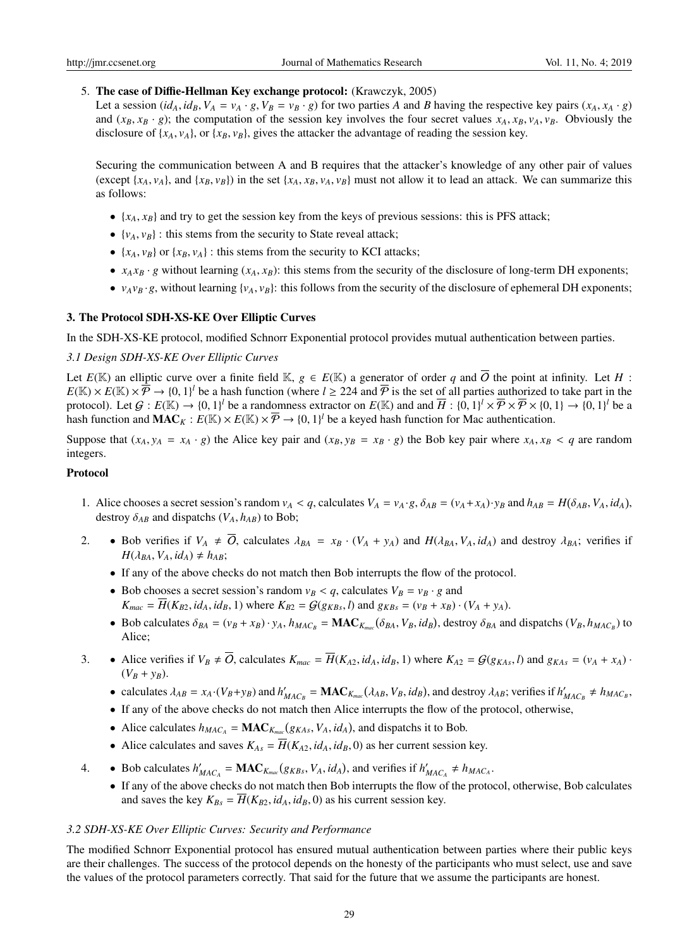# 5. The case of Diffie-Hellman Key exchange protocol: (Krawczyk, 2005)

Let a session  $(id_A, id_B, V_A = v_A \cdot g, V_B = v_B \cdot g)$  for two parties A and B having the respective key pairs  $(x_A, x_A \cdot g)$ and  $(x_B, x_B \cdot g)$ ; the computation of the session key involves the four secret values  $x_A, x_B, v_A, v_B$ . Obviously the disclosure of  $\{x_A, v_A\}$ , or  $\{x_B, v_B\}$ , gives the attacker the advantage of reading the session key.

Securing the communication between A and B requires that the attacker's knowledge of any other pair of values (except { $x_A$ ,  $y_A$ }, and { $x_B$ ,  $y_B$ }) in the set { $x_A$ ,  $x_B$ ,  $y_A$ ,  $y_B$ } must not allow it to lead an attack. We can summarize this as follows:

- $\{x_A, x_B\}$  and try to get the session key from the keys of previous sessions: this is PFS attack;
- $\{v_A, v_B\}$ : this stems from the security to State reveal attack;
- $\{x_A, v_B\}$  or  $\{x_B, v_A\}$ : this stems from the security to KCI attacks;
- $x_A x_B \cdot g$  without learning  $(x_A, x_B)$ : this stems from the security of the disclosure of long-term DH exponents;
- $v_A v_B \cdot g$ , without learning  $\{v_A, v_B\}$ : this follows from the security of the disclosure of ephemeral DH exponents;

# 3. The Protocol SDH-XS-KE Over Elliptic Curves

In the SDH-XS-KE protocol, modified Schnorr Exponential protocol provides mutual authentication between parties.

## *3.1 Design SDH-XS-KE Over Elliptic Curves*

Let  $E(\mathbb{K})$  an elliptic curve over a finite field  $\mathbb{K}$ ,  $g \in E(\mathbb{K})$  a generator of order q and  $\overline{O}$  the point at infinity. Let H:  $E(\mathbb{K}) \times E(\mathbb{K}) \times \overline{P} \to \{0,1\}^l$  be a hash function (where  $l \geq 224$  and  $\overline{P}$  is the set of all parties authorized to take part in the protocol). Let  $\mathcal{G}: E(\mathbb{K}) \to \{0,1\}^l$  be a randomness extractor on  $E(\mathbb{K})$  and and  $\overline{H}: \{0,1\}^l \times \overline{\mathcal{P}} \times \overline{\mathcal{P}} \times \{0,1\} \to \{0,1\}^l$  be a hash function and  $\mathbf{MAC}_K : E(\mathbb{K}) \times E(\mathbb{K}) \times \overline{\mathcal{P}} \to \{0,1\}^l$  be a keyed hash function for Mac authentication.

Suppose that  $(x_A, y_A = x_A \cdot g)$  the Alice key pair and  $(x_B, y_B = x_B \cdot g)$  the Bob key pair where  $x_A, x_B < q$  are random integers.

### Protocol

- 1. Alice chooses a secret session's random  $v_A < q$ , calculates  $V_A = v_A \cdot g$ ,  $\delta_{AB} = (v_A + x_A) \cdot y_B$  and  $h_{AB} = H(\delta_{AB}, V_A, id_A)$ , destroy  $\delta_{AB}$  and dispatchs ( $V_A$ ,  $h_{AB}$ ) to Bob;
- 2. Bob verifies if  $V_A \neq \overline{O}$ , calculates  $\lambda_{BA} = x_B \cdot (V_A + y_A)$  and  $H(\lambda_{BA}, V_A, id_A)$  and destroy  $\lambda_{BA}$ ; verifies if  $H(\lambda_{BA}, V_A, id_A) \neq h_{AB}$ ;
	- If any of the above checks do not match then Bob interrupts the flow of the protocol.
	- Bob chooses a secret session's random  $v_B < q$ , calculates  $V_B = v_B \cdot g$  and  $K_{mac} = \overline{H}(K_{B2}, id_A, id_B, 1)$  where  $K_{B2} = G(g_{KBs}, l)$  and  $g_{KBs} = (v_B + x_B) \cdot (V_A + y_A)$ .
	- Bob calculates  $\delta_{BA} = (v_B + x_B) \cdot y_A$ ,  $h_{MAC_B} = \text{MAC}_{K_{mac}}(\delta_{BA}, V_B, id_B)$ , destroy  $\delta_{BA}$  and dispatchs  $(V_B, h_{MAC_B})$  to Alice;
- 3. Alice verifies if  $V_B \neq \overline{O}$ , calculates  $K_{mac} = \overline{H}(K_{A2}, id_A, id_B, 1)$  where  $K_{A2} = \mathcal{G}(g_{KAs}, l)$  and  $g_{KAs} = (v_A + x_A)$ .  $(V_B + y_B)$ .
	- calculates  $\lambda_{AB} = x_A \cdot (V_B + y_B)$  and  $h'_{MAC_B} = \textbf{MAC}_{K_{mac}}(\lambda_{AB}, V_B, id_B)$ , and destroy  $\lambda_{AB}$ ; verifies if  $h'_{MAC_B} \neq h_{MAC_B}$ ,
	- If any of the above checks do not match then Alice interrupts the flow of the protocol, otherwise,
	- Alice calculates  $h_{MAC_A} = \textbf{MAC}_{K_{mac}}(g_{KAs}, V_A, id_A)$ , and dispatchs it to Bob.
	- Alice calculates and saves  $K_{As} = \overline{H}(K_{A2}, id_A, id_B, 0)$  as her current session key.
- 4. Bob calculates  $h'_{MAC_A} = \textbf{MAC}_{K_{mac}}(g_{KBS}, V_A, id_A)$ , and verifies if  $h'_{MAC_A} \neq h_{MAC_A}$ .
	- If any of the above checks do not match then Bob interrupts the flow of the protocol, otherwise, Bob calculates and saves the key  $K_{Bs} = \overline{H}(K_{B2}, id_A, id_B, 0)$  as his current session key.

## *3.2 SDH-XS-KE Over Elliptic Curves: Security and Performance*

The modified Schnorr Exponential protocol has ensured mutual authentication between parties where their public keys are their challenges. The success of the protocol depends on the honesty of the participants who must select, use and save the values of the protocol parameters correctly. That said for the future that we assume the participants are honest.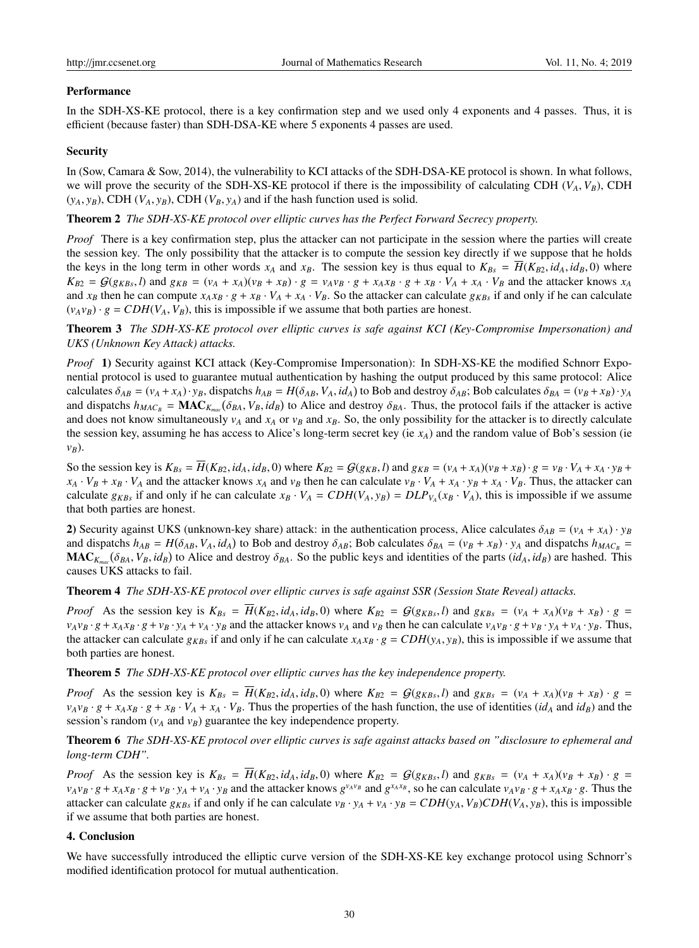#### Performance

In the SDH-XS-KE protocol, there is a key confirmation step and we used only 4 exponents and 4 passes. Thus, it is efficient (because faster) than SDH-DSA-KE where 5 exponents 4 passes are used.

#### **Security**

In (Sow, Camara & Sow, 2014), the vulnerability to KCI attacks of the SDH-DSA-KE protocol is shown. In what follows, we will prove the security of the SDH-XS-KE protocol if there is the impossibility of calculating CDH  $(V_A, V_B)$ , CDH  $(y_A, y_B)$ , CDH  $(V_A, y_B)$ , CDH  $(V_B, y_A)$  and if the hash function used is solid.

#### Theorem 2 *The SDH-XS-KE protocol over elliptic curves has the Perfect Forward Secrecy property.*

*Proof* There is a key confirmation step, plus the attacker can not participate in the session where the parties will create the session key. The only possibility that the attacker is to compute the session key directly if we suppose that he holds the keys in the long term in other words  $x_A$  and  $x_B$ . The session key is thus equal to  $K_{Bs} = H(K_{B2}, id_A, id_B, 0)$  where  $K_{B2} = G(g_{KBs}, l)$  and  $g_{KB} = (v_A + x_A)(v_B + x_B) \cdot g = v_A v_B \cdot g + x_A x_B \cdot g + x_B \cdot V_A + x_A \cdot V_B$  and the attacker knows  $x_A$ and  $x_B$  then he can compute  $x_A x_B \cdot g + x_B \cdot V_A + x_A \cdot V_B$ . So the attacker can calculate  $g_{KBs}$  if and only if he can calculate  $(v_A v_B) \cdot g = CDH(V_A, V_B)$ , this is impossible if we assume that both parties are honest.

Theorem 3 *The SDH-XS-KE protocol over elliptic curves is safe against KCI (Key-Compromise Impersonation) and UKS (Unknown Key Attack) attacks.*

*Proof* 1) Security against KCI attack (Key-Compromise Impersonation): In SDH-XS-KE the modified Schnorr Exponential protocol is used to guarantee mutual authentication by hashing the output produced by this same protocol: Alice calculates  $\delta_{AB} = (v_A + x_A) \cdot y_B$ , dispatchs  $h_{AB} = H(\delta_{AB}, V_A, id_A)$  to Bob and destroy  $\delta_{AB}$ ; Bob calculates  $\delta_{BA} = (v_B + x_B) \cdot y_A$ and dispatchs  $h_{MAC_B} = \text{MAC}_{K_{mac}}(\delta_{BA}, V_B, id_B)$  to Alice and destroy  $\delta_{BA}$ . Thus, the protocol fails if the attacker is active and does not know simultaneously  $v_A$  and  $x_A$  or  $v_B$  and  $x_B$ . So, the only possibility for the attacker is to directly calculate the session key, assuming he has access to Alice's long-term secret key (ie *xA*) and the random value of Bob's session (ie *vB*).

So the session key is  $K_{Bs} = \overline{H}(K_{B2}, id_A, id_B, 0)$  where  $K_{B2} = G(g_{KB}, l)$  and  $g_{KB} = (v_A + x_A)(v_B + x_B) \cdot g = v_B \cdot V_A + x_A \cdot y_B +$  $x_A \cdot V_B + x_B \cdot V_A$  and the attacker knows  $x_A$  and  $v_B$  then he can calculate  $v_B \cdot V_A + x_A \cdot v_B + x_A \cdot V_B$ . Thus, the attacker can calculate  $g_{KBs}$  if and only if he can calculate  $x_B \cdot V_A = CDH(V_A, y_B) = DLP_{V_A}(x_B \cdot V_A)$ , this is impossible if we assume that both parties are honest.

2) Security against UKS (unknown-key share) attack: in the authentication process, Alice calculates  $\delta_{AB} = (v_A + x_A) \cdot y_B$ and dispatchs  $h_{AB} = H(\delta_{AB}, V_A, id_A)$  to Bob and destroy  $\delta_{AB}$ ; Bob calculates  $\delta_{BA} = (v_B + x_B) \cdot y_A$  and dispatchs  $h_{MAC_B}$  $MAC_{K_{mac}}(\delta_{BA}, V_B, id_B)$  to Alice and destroy  $\delta_{BA}$ . So the public keys and identities of the parts  $(id_A, id_B)$  are hashed. This causes UKS attacks to fail.

Theorem 4 *The SDH-XS-KE protocol over elliptic curves is safe against SSR (Session State Reveal) attacks.*

*Proof* As the session key is  $K_{Bs} = \overline{H}(K_{B2}, id_A, id_B, 0)$  where  $K_{B2} = \mathcal{G}(g_{KBs}, l)$  and  $g_{KBs} = (v_A + x_A)(v_B + x_B) \cdot g =$  $v_Av_B \cdot g + x_Ax_B \cdot g + v_B \cdot y_A + v_A \cdot y_B$  and the attacker knows  $v_A$  and  $v_B$  then he can calculate  $v_Av_B \cdot g + v_B \cdot y_A + v_A \cdot y_B$ . Thus, the attacker can calculate  $g_{KB}$  if and only if he can calculate  $x_A x_B \cdot g = CDH(y_A, y_B)$ , this is impossible if we assume that both parties are honest.

Theorem 5 *The SDH-XS-KE protocol over elliptic curves has the key independence property.*

*Proof* As the session key is  $K_{Bs} = \overline{H}(K_{B2}, id_A, id_B, 0)$  where  $K_{B2} = G(g_{KB}, l)$  and  $g_{KB} = (v_A + x_A)(v_B + x_B) \cdot g =$  $v_Av_B \cdot g + x_Ax_B \cdot g + x_B \cdot V_A + x_A \cdot V_B$ . Thus the properties of the hash function, the use of identities (id<sub>A</sub> and id<sub>B</sub>) and the session's random  $(v_A \text{ and } v_B)$  guarantee the key independence property.

Theorem 6 *The SDH-XS-KE protocol over elliptic curves is safe against attacks based on "disclosure to ephemeral and long-term CDH".*

*Proof* As the session key is  $K_{Bs} = \overline{H}(K_{B2}, id_A, id_B, 0)$  where  $K_{B2} = \mathcal{G}(g_{KB}, l)$  and  $g_{KB} = (v_A + x_A)(v_B + x_B) \cdot g =$  $v_Av_B \cdot g + x_Ax_B \cdot g + v_B \cdot y_A + v_A \cdot y_B$  and the attacker knows  $g^{v_Av_B}$  and  $g^{x_Ax_B}$ , so he can calculate  $v_Av_B \cdot g + x_Ax_B \cdot g$ . Thus the attacker can calculate  $g_{KB}$  if and only if he can calculate  $v_B \cdot y_A + v_A \cdot y_B = CDH(y_A, V_B)CDH(V_A, y_B)$ , this is impossible if we assume that both parties are honest.

#### 4. Conclusion

We have successfully introduced the elliptic curve version of the SDH-XS-KE key exchange protocol using Schnorr's modified identification protocol for mutual authentication.